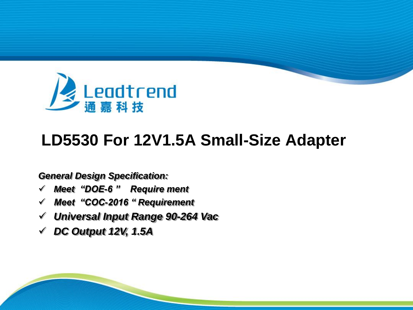

# **LD5530 For 12V1.5A Small-Size Adapter**

#### *General Design Specification:*

- *Meet "DOE-6 " Require ment*
- *Meet "COC-2016 " Requirement*
- *Universal Input Range 90-264 Vac*
- *DC Output 12V, 1.5A*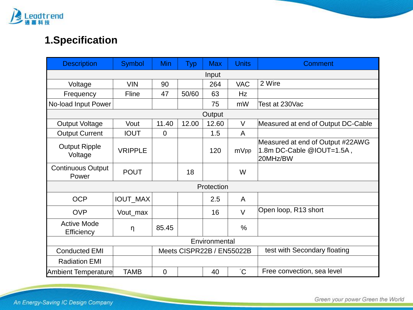

# **1.Specification**

| <b>Description</b>                | <b>Symbol</b>   | Min            | <b>Typ</b>                | <b>Max</b> | <b>Units</b>  | Comment                                                                   |  |
|-----------------------------------|-----------------|----------------|---------------------------|------------|---------------|---------------------------------------------------------------------------|--|
|                                   |                 |                |                           | Input      |               |                                                                           |  |
| Voltage                           | <b>VIN</b>      | 90             |                           | 264        | <b>VAC</b>    | 2 Wire                                                                    |  |
| Frequency                         | Fline           | 47             | 50/60                     | 63         | Hz            |                                                                           |  |
| No-load Input Power               |                 |                |                           | 75         | mW            | Test at 230Vac                                                            |  |
|                                   |                 |                |                           | Output     |               |                                                                           |  |
| <b>Output Voltage</b>             | Vout            | 11.40          | 12.00                     | 12.60      | V             | Measured at end of Output DC-Cable                                        |  |
| <b>Output Current</b>             | <b>IOUT</b>     | $\overline{0}$ |                           | 1.5        | A             |                                                                           |  |
| <b>Output Ripple</b><br>Voltage   | <b>VRIPPLE</b>  |                |                           | 120        | mVpp          | Measured at end of Output #22AWG<br>1.8m DC-Cable @IOUT=1.5A,<br>20MHz/BW |  |
| <b>Continuous Output</b><br>Power | <b>POUT</b>     |                | 18                        |            | W             |                                                                           |  |
|                                   |                 |                |                           | Protection |               |                                                                           |  |
| <b>OCP</b>                        | <b>IOUT_MAX</b> |                |                           | 2.5        | A             |                                                                           |  |
| <b>OVP</b>                        | Vout_max        |                |                           | 16         | $\vee$        | Open loop, R13 short                                                      |  |
| <b>Active Mode</b><br>Efficiency  | η               | 85.45          |                           |            | $\frac{0}{0}$ |                                                                           |  |
|                                   | Environmental   |                |                           |            |               |                                                                           |  |
| <b>Conducted EMI</b>              |                 |                | Meets CISPR22B / EN55022B |            |               | test with Secondary floating                                              |  |
| <b>Radiation EMI</b>              |                 |                |                           |            |               |                                                                           |  |
| Ambient Temperature               | <b>TAMB</b>     | $\mathbf 0$    |                           | 40         | $\mathrm{C}$  | Free convection, sea level                                                |  |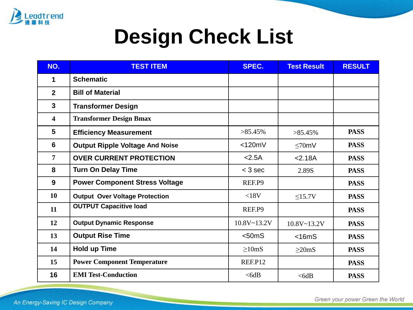

# **Design Check List**

| NO.            | <b>TEST ITEM</b>                       | SPEC.           | <b>Test Result</b> | <b>RESULT</b> |
|----------------|----------------------------------------|-----------------|--------------------|---------------|
| 1              | <b>Schematic</b>                       |                 |                    |               |
| $\overline{2}$ | <b>Bill of Material</b>                |                 |                    |               |
| $\mathbf{3}$   | <b>Transformer Design</b>              |                 |                    |               |
| 4              | <b>Transformer Design Bmax</b>         |                 |                    |               |
| 5              | <b>Efficiency Measurement</b>          | $>85.45\%$      | $>85.45\%$         | <b>PASS</b>   |
| 6              | <b>Output Ripple Voltage And Noise</b> | $<$ 120mV       | $\leq 70$ mV       | <b>PASS</b>   |
| $\overline{7}$ | <b>OVER CURRENT PROTECTION</b>         | < 2.5A          | 2.18A              | <b>PASS</b>   |
| 8              | <b>Turn On Delay Time</b>              | $<$ 3 sec       | 2.89S              | <b>PASS</b>   |
| 9              | <b>Power Component Stress Voltage</b>  | REF.P9          |                    | <b>PASS</b>   |
| 10             | <b>Output Over Voltage Protection</b>  | <18V            | <15.7V             | <b>PASS</b>   |
| 11             | <b>OUTPUT Capacitive load</b>          | REF.P9          |                    | <b>PASS</b>   |
| 12             | <b>Output Dynamic Response</b>         | $10.8V - 13.2V$ | $10.8V - 13.2V$    | <b>PASS</b>   |
| 13             | <b>Output Rise Time</b>                | $<$ 50 $ms$     | $<$ 16m $S$        | <b>PASS</b>   |
| 14             | <b>Hold up Time</b>                    | $\geq 10$ mS    | $\geq$ 20mS        | <b>PASS</b>   |
| 15             | <b>Power Component Temperature</b>     | REF.P12         |                    | <b>PASS</b>   |
| 16             | <b>EMI Test-Conduction</b>             | $<$ 6dB         | $<$ 6dB            | <b>PASS</b>   |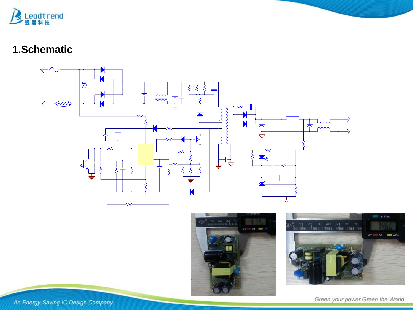

## **1.Schematic**







An Energy-Saving IC Design Company

Green your power Green the World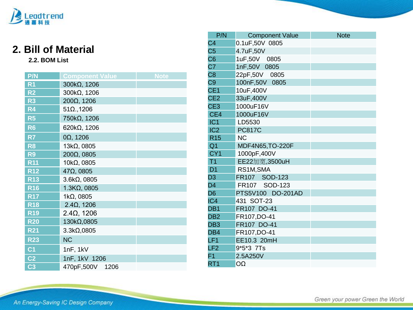

# **2. Bill of Material**

#### **2.2. BOM List**

| P/N            | <b>Component Value</b> | <b>Note</b> |
|----------------|------------------------|-------------|
| R <sub>1</sub> | 300kΩ, 1206            |             |
| R <sub>2</sub> | 300kΩ, 1206            |             |
| R <sub>3</sub> | 200Ω, 1206             |             |
| R <sub>4</sub> | $51\Omega., 1206$      |             |
| R <sub>5</sub> | 750kΩ, 1206            |             |
| R <sub>6</sub> | 620kΩ, 1206            |             |
| R7             | $0\Omega$ , 1206       |             |
| R <sub>8</sub> | 13kΩ, 0805             |             |
| R <sub>9</sub> | 200Ω, 0805             |             |
| <b>R11</b>     | 10kΩ, 0805             |             |
| <b>R12</b>     | $47\Omega$ , 0805      |             |
| <b>R13</b>     | $3.6k\Omega$ , 0805    |             |
| R16            | $1.3K\Omega$ , 0805    |             |
| <b>R17</b>     | $1k\Omega$ , 0805      |             |
| <b>R18</b>     | $2.4\Omega$ , 1206     |             |
| <b>R19</b>     | $2.4\Omega$ , 1206     |             |
| <b>R20</b>     | 130kΩ,0805             |             |
| <b>R21</b>     | 3.3kΩ,0805             |             |
| <b>R23</b>     | <b>NC</b>              |             |
| C <sub>1</sub> | 1nF, 1kV               |             |
| C <sub>2</sub> | 1nF, 1kV 1206          |             |
| C <sub>3</sub> | 470pF,500V<br>1206     |             |

| P/N             | <b>Component Value</b> | <b>Note</b> |
|-----------------|------------------------|-------------|
| C4              | 0.1uF,50V 0805         |             |
| C <sub>5</sub>  | 4.7uF,50V              |             |
| C <sub>6</sub>  | 1uF,50V 0805           |             |
| C <sub>7</sub>  | 1nF,50V 0805           |             |
| C8              | 22pF,50V 0805          |             |
| C <sub>9</sub>  | 100nF,50V 0805         |             |
| CE <sub>1</sub> | 10uF,400V              |             |
| CE <sub>2</sub> | 33uF,400V              |             |
| CE <sub>3</sub> | 1000uF16V              |             |
| CE4             | 1000uF16V              |             |
| IC <sub>1</sub> | LD5530                 |             |
| IC <sub>2</sub> | <b>PC817C</b>          |             |
| <b>R15</b>      | <b>NC</b>              |             |
| Q <sub>1</sub>  | MDF4N65, TO-220F       |             |
| CY <sub>1</sub> | 1000pF,400V            |             |
| T <sub>1</sub>  | EE22加宽,3500uH          |             |
| D <sub>1</sub>  | RS1M, SMA              |             |
| D <sub>3</sub>  | FR107 SOD-123          |             |
| D <sub>4</sub>  | FR107 SOD-123          |             |
| D <sub>6</sub>  | PTS5V100 DO-201AD      |             |
| IC4             | 431 SOT-23             |             |
| DB <sub>1</sub> | FR107 DO-41            |             |
| DB <sub>2</sub> | FR107,DO-41            |             |
| DB <sub>3</sub> | FR107 DO-41            |             |
| DB4             | FR107,DO-41            |             |
| LF <sub>1</sub> | EE10.3 20mH            |             |
| LF <sub>2</sub> | 9*5*3 7Ts              |             |
| F <sub>1</sub>  | 2.5A250V               |             |
| RT <sub>1</sub> | OΩ                     |             |

An Energy-Saving IC Design Company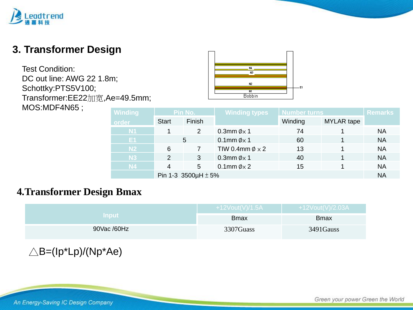# dtrend

# **3. Transformer Design**

Test Condition: DC out line: AWG 22 1.8m; Schottky:PTS5V100; Transformer:EE22加宽,Ae=49.5mm; MOS:MDF4N65 ;



| <b>Winding</b> | Pin No.                       |        | <b>Winding types</b>       | Number turns |                   | <b>Remarks</b> |
|----------------|-------------------------------|--------|----------------------------|--------------|-------------------|----------------|
| order          | <b>Start</b>                  | Finish |                            | Winding      | <b>MYLAR</b> tape |                |
| <b>N1</b>      |                               | 2      | 0.3mm $\phi$ x 1           | 74           |                   | NA             |
| E1             | 5                             |        | 0.1mm $\emptyset \times 1$ | 60           |                   | <b>NA</b>      |
| N <sub>2</sub> | 6                             |        | TIW 0.4mm $\phi \times 2$  | 13           |                   | <b>NA</b>      |
| <b>N3</b>      | 2                             | 3      | 0.3mm $\phi$ x 1           | 40           |                   | <b>NA</b>      |
| <b>N4</b>      |                               | 5      | 0.1mm $\phi \times 2$      | 15           |                   | <b>NA</b>      |
|                | Pin 1-3 3500 $\mu$ H $\pm$ 5% |        |                            |              |                   |                |

#### **4.Transformer Design Bmax**

|              | +12Vout(V)/1.5A | +12Vout(V)/2.03A |
|--------------|-----------------|------------------|
| <b>Input</b> | <b>B</b> max    | <b>B</b> max     |
| 90Vac /60Hz  | 3307Guass       | 3491Gauss        |

 $\triangle$ B=(Ip\*Lp)/(Np\*Ae)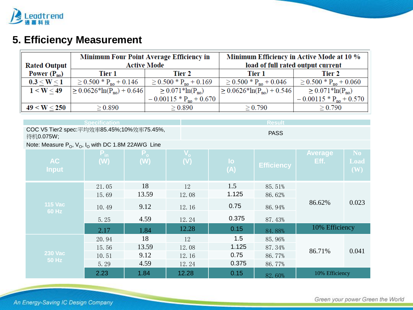

# **5. Efficiency Measurement**

|                     | Minimum Four Point Average Efficiency in |                                          | Minimum Efficiency in Active Mode at 10 % |                                          |  |
|---------------------|------------------------------------------|------------------------------------------|-------------------------------------------|------------------------------------------|--|
| <b>Rated Output</b> |                                          | <b>Active Mode</b>                       | load of full rated output current         |                                          |  |
| Power $(P_{no})$    | Tier 1                                   | Tier 2                                   | Tier 1                                    | Tier 2                                   |  |
| 0.3 < W < 1         | $\geq 0.500 * P_{\text{no}} + 0.146$     | $\geq$ 0.500 $*$ P <sub>no</sub> + 0.169 | $\geq 0.500 * P_{no} + 0.046$             | $\geq$ 0.500 $*$ P <sub>no</sub> + 0.060 |  |
| 1 < W < 49          | $\geq 0.0626*ln(P_{no})+0.646$           | $\geq 0.071*ln(P_{no})$                  | $\geq 0.0626*\ln(P_{\text{no}})+0.546$    | $\geq 0.071*ln(P_{no})$                  |  |
|                     |                                          | $-0.00115 * P_{no} + 0.670$              |                                           | $-0.00115 * Pno + 0.570$                 |  |
| 49 < W < 250        | $\geq 0.890$                             | $\geq 0.890$                             | $\geq 0.790$                              | > 0.790                                  |  |

|                                                             | <b>Specification</b> |                |                |                        | <b>Result</b>     |                        |                   |
|-------------------------------------------------------------|----------------------|----------------|----------------|------------------------|-------------------|------------------------|-------------------|
| COC V5 Tier2 spec:平均效率85.45%;10%效率75.45%,<br>待机0.075W;      |                      |                |                |                        | <b>PASS</b>       |                        |                   |
| Note: Measure $P_0$ , $V_0$ , $I_0$ with DC 1.8M 22AWG Line |                      |                |                |                        |                   |                        |                   |
| <b>AC</b><br><b>Input</b>                                   | $P_{in}$<br>(W)      | $P_{o}$<br>(W) | $V_{o}$<br>(V) | $\overline{10}$<br>(A) | <b>Efficiency</b> | <b>Average</b><br>Eff. | No<br>Load<br>(W) |
|                                                             | 21.05                | 18             | 12             | 1.5                    | 85.51%            |                        |                   |
|                                                             | 15.69                | 13.59          | 12.08          | 1.125                  | 86.62%            |                        |                   |
| <b>115 Vac</b><br>60 Hz                                     | 10.49                | 9.12           | 12.16          | 0.75                   | 86.94%            | 86.62%                 | 0.023             |
|                                                             | 5.25                 | 4.59           | 12.24          | 0.375                  | 87.43%            |                        |                   |
|                                                             | 2.17                 | 1.84           | 12.28          | 0.15                   | 84.88%            | 10% Efficiency         |                   |
|                                                             | 20.94                | 18             | 12             | 1.5                    | 85.96%            |                        |                   |
|                                                             | 15.56                | 13.59          | 12.08          | 1.125                  | 87.34%            | 86.71%                 | 0.041             |
| <b>230 Vac</b>                                              | 10.51                | 9.12           | 12.16          | 0.75                   | 86.77%            |                        |                   |
| <b>50 Hz</b>                                                | 5.29                 | 4.59           | 12.24          | 0.375                  | 86.77%            |                        |                   |
|                                                             | 2.23                 | 1.84           | 12.28          | 0.15                   | 82.60%            | 10% Efficiency         |                   |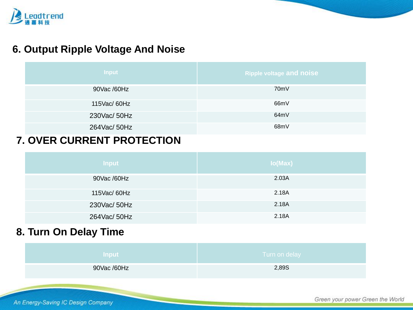

## **6. Output Ripple Voltage And Noise**

| Input        | <b>Ripple voltage and noise</b> |
|--------------|---------------------------------|
| 90Vac /60Hz  | 70 <sub>m</sub> V               |
| 115Vac/ 60Hz | 66mV                            |
| 230Vac/50Hz  | 64mV                            |
| 264Vac/ 50Hz | 68mV                            |

#### **7. OVER CURRENT PROTECTION**

| <b>Input</b> | lo(Max) |
|--------------|---------|
| 90Vac /60Hz  | 2.03A   |
| 115Vac/ 60Hz | 2.18A   |
| 230Vac/ 50Hz | 2.18A   |
| 264Vac/ 50Hz | 2.18A   |

#### **8. Turn On Delay Time**

| <b>Input</b> | Turn on delay |
|--------------|---------------|
| 90Vac /60Hz  | 2,89S         |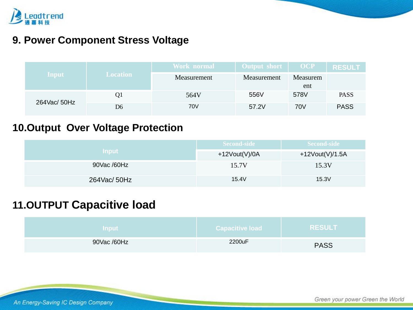

#### **9. Power Component Stress Voltage**

|                |                 | Work normal | Output short | <b>OCP</b>      | <b>RESULT</b> |
|----------------|-----------------|-------------|--------------|-----------------|---------------|
| Input          | <b>Location</b> | Measurement | Measurement  | Measurem<br>ent |               |
| 264 Vac/ 50 Hz | Q1              | 564V        | 556V         | 578V            | <b>PASS</b>   |
|                | D6              | 70V         | 57.2V        | 70V             | <b>PASS</b>   |

# **10.Output Over Voltage Protection**

| <b>Input</b> | Second-side      | <b>Second-side</b>  |
|--------------|------------------|---------------------|
|              | +12 $Vout(V)/0A$ | +12 $V$ out(V)/1.5A |
| 90Vac /60Hz  | 15.7V            | 15.3V               |
| 264Vac/ 50Hz | 15.4V            | 15.3V               |

# **11.OUTPUT Capacitive load**

| <b>Input</b> | <b>Capacitive load</b> | <b>RESULT</b> |
|--------------|------------------------|---------------|
| 90Vac /60Hz  | 2200uF                 | <b>PASS</b>   |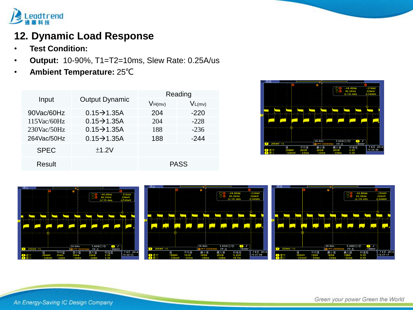

# **12. Dynamic Load Response**

- **Test Condition:**
- **Output:** 10-90%, T1=T2=10ms, Slew Rate: 0.25A/us
- **Ambient Temperature:** 25℃

| Input          | <b>Output Dynamic</b>     | Reading     |             |  |
|----------------|---------------------------|-------------|-------------|--|
|                |                           | VH(mv)      | $V_{L(mv)}$ |  |
| 90Vac/60Hz     | $0.15 \rightarrow 1.35$ A | 204         | $-220$      |  |
| $115$ Vac/60Hz | $0.15 \rightarrow 1.35A$  | 204         | $-228$      |  |
| $230$ Vac/50Hz | $0.15 \rightarrow 1.35A$  | 188         | $-236$      |  |
| 264Vac/50Hz    | $0.15 \rightarrow 1.35A$  | 188         | -244        |  |
| <b>SPEC</b>    | ±1.2V                     |             |             |  |
| Result         |                           | <b>PASS</b> |             |  |





An Energy-Saving IC Design Company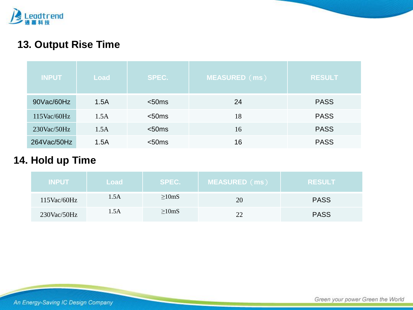

# **13. Output Rise Time**

| <b>INPUT</b>   | Load | <b>SPEC.</b> | <b>MEASURED</b> (ms) | <b>RESULT</b> |
|----------------|------|--------------|----------------------|---------------|
| 90Vac/60Hz     | 1.5A | $<$ 50 $ms$  | 24                   | <b>PASS</b>   |
| $115$ Vac/60Hz | 1.5A | $<$ 50 $ms$  | 18                   | <b>PASS</b>   |
| $230$ Vac/50Hz | 1.5A | $<$ 50 $ms$  | 16                   | <b>PASS</b>   |
| 264Vac/50Hz    | 1.5A | $<$ 50 $ms$  | 16                   | <b>PASS</b>   |

## **14. Hold up Time**

| <b>INPUT</b>   | Load | SPEC.        | <b>MEASURED</b> (ms) | <b>RESULT</b> |
|----------------|------|--------------|----------------------|---------------|
| $115$ Vac/60Hz | 1.5A | $\geq 10$ mS | 20                   | <b>PASS</b>   |
| $230$ Vac/50Hz | 1.5A | $\geq 10$ mS | າາ                   | <b>PASS</b>   |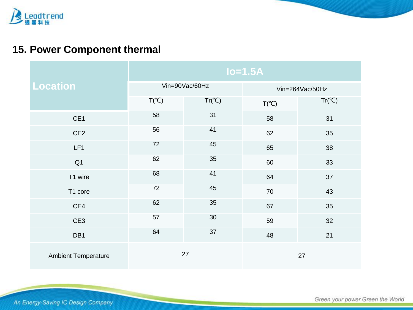

# **15. Power Component thermal**

|                            | $Io=1.5A$      |                 |                 |                 |
|----------------------------|----------------|-----------------|-----------------|-----------------|
| <b>Location</b>            | Vin=90Vac/60Hz |                 | Vin=264Vac/50Hz |                 |
|                            | $T(^{\circ}C)$ | $Tr(^{\circ}C)$ | $T(^{\circ}C)$  | $Tr(^{\circ}C)$ |
| CE1                        | 58             | 31              | 58              | 31              |
| CE <sub>2</sub>            | 56             | 41              | 62              | 35              |
| LF1                        | 72             | 45              | 65              | 38              |
| Q <sub>1</sub>             | 62             | 35              | 60              | 33              |
| T1 wire                    | 68             | 41              | 64              | 37              |
| T1 core                    | 72             | 45              | 70              | 43              |
| CE4                        | 62             | 35              | 67              | 35              |
| CE3                        | 57             | 30              | 59              | 32              |
| DB1                        | 64             | 37              | 48              | 21              |
| <b>Ambient Temperature</b> | 27             |                 | 27              |                 |

An Energy-Saving IC Design Company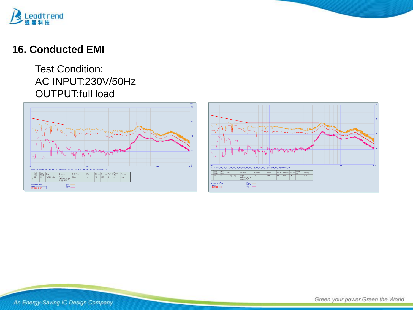

#### **16. Conducted EMI**

#### Test Condition: AC INPUT:230V/50Hz OUTPUT:full load